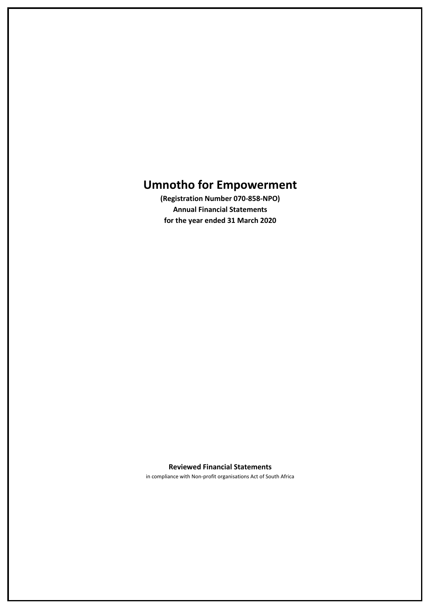**(Registration Number 070-858-NPO) Annual Financial Statements for the year ended 31 March 2020**

### **Reviewed Financial Statements**

in compliance with Non-profit organisations Act of South Africa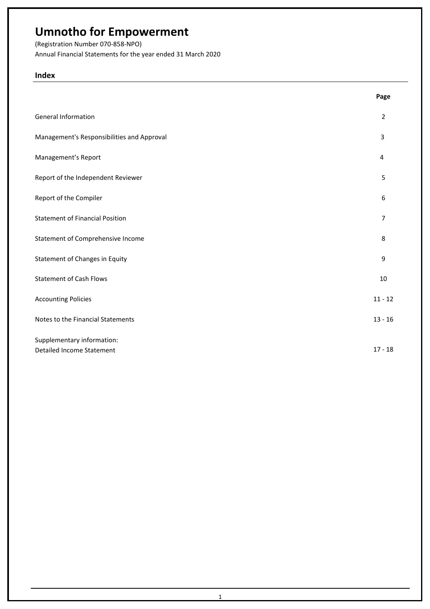(Registration Number 070-858-NPO) Annual Financial Statements for the year ended 31 March 2020

### **Index**

|                                            | Page      |
|--------------------------------------------|-----------|
| <b>General Information</b>                 | 2         |
| Management's Responsibilities and Approval | 3         |
| Management's Report                        | 4         |
| Report of the Independent Reviewer         | 5         |
| Report of the Compiler                     | 6         |
| <b>Statement of Financial Position</b>     | 7         |
| Statement of Comprehensive Income          | 8         |
| <b>Statement of Changes in Equity</b>      | 9         |
| <b>Statement of Cash Flows</b>             | 10        |
| <b>Accounting Policies</b>                 | $11 - 12$ |
| Notes to the Financial Statements          | $13 - 16$ |
| Supplementary information:                 |           |
| <b>Detailed Income Statement</b>           | $17 - 18$ |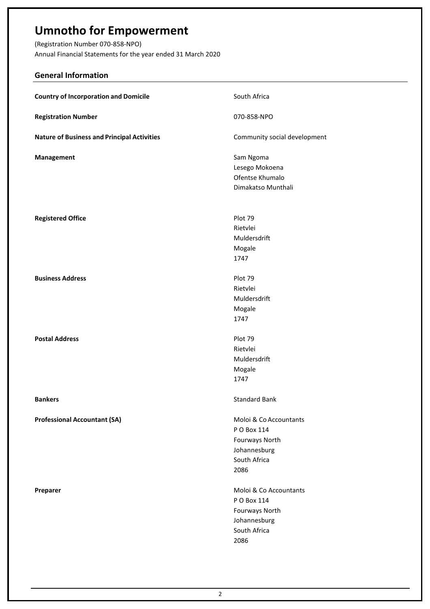(Registration Number 070-858-NPO) Annual Financial Statements for the year ended 31 March 2020

### **General Information**

| <b>Country of Incorporation and Domicile</b>       | South Africa                                                                                    |
|----------------------------------------------------|-------------------------------------------------------------------------------------------------|
| <b>Registration Number</b>                         | 070-858-NPO                                                                                     |
| <b>Nature of Business and Principal Activities</b> | Community social development                                                                    |
| <b>Management</b>                                  | Sam Ngoma<br>Lesego Mokoena<br>Ofentse Khumalo<br>Dimakatso Munthali                            |
| <b>Registered Office</b>                           | Plot 79<br>Rietvlei<br>Muldersdrift<br>Mogale<br>1747                                           |
| <b>Business Address</b>                            | Plot 79<br>Rietvlei<br>Muldersdrift<br>Mogale<br>1747                                           |
| <b>Postal Address</b>                              | Plot 79<br>Rietvlei<br>Muldersdrift<br>Mogale<br>1747                                           |
| <b>Bankers</b>                                     | <b>Standard Bank</b>                                                                            |
| <b>Professional Accountant (SA)</b>                | Moloi & Co Accountants<br>P O Box 114<br>Fourways North<br>Johannesburg<br>South Africa<br>2086 |
| Preparer                                           | Moloi & Co Accountants<br>P O Box 114<br>Fourways North<br>Johannesburg<br>South Africa<br>2086 |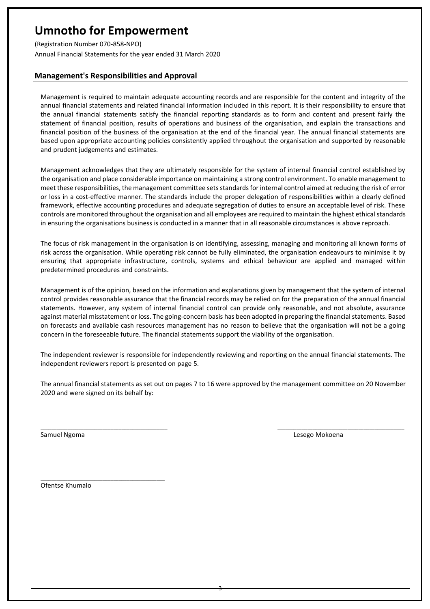(Registration Number 070-858-NPO)

Annual Financial Statements for the year ended 31 March 2020

### **Management's Responsibilities and Approval**

Management is required to maintain adequate accounting records and are responsible for the content and integrity of the annual financial statements and related financial information included in this report. It is their responsibility to ensure that the annual financial statements satisfy the financial reporting standards as to form and content and present fairly the statement of financial position, results of operations and business of the organisation, and explain the transactions and financial position of the business of the organisation at the end of the financial year. The annual financial statements are based upon appropriate accounting policies consistently applied throughout the organisation and supported by reasonable and prudent judgements and estimates.

Management acknowledges that they are ultimately responsible for the system of internal financial control established by the organisation and place considerable importance on maintaining a strong control environment. To enable management to meet these responsibilities, the management committee sets standards for internal control aimed at reducing the risk of error or loss in a cost-effective manner. The standards include the proper delegation of responsibilities within a clearly defined framework, effective accounting procedures and adequate segregation of duties to ensure an acceptable level of risk. These controls are monitored throughout the organisation and all employees are required to maintain the highest ethical standards in ensuring the organisations business is conducted in a manner that in all reasonable circumstances is above reproach.

The focus of risk management in the organisation is on identifying, assessing, managing and monitoring all known forms of risk across the organisation. While operating risk cannot be fully eliminated, the organisation endeavours to minimise it by ensuring that appropriate infrastructure, controls, systems and ethical behaviour are applied and managed within predetermined procedures and constraints.

Management is of the opinion, based on the information and explanations given by management that the system of internal control provides reasonable assurance that the financial records may be relied on for the preparation of the annual financial statements. However, any system of internal financial control can provide only reasonable, and not absolute, assurance against material misstatement or loss. The going-concern basis has been adopted in preparing the financial statements. Based on forecasts and available cash resources management has no reason to believe that the organisation will not be a going concern in the foreseeable future. The financial statements support the viability of the organisation.

The independent reviewer is responsible for independently reviewing and reporting on the annual financial statements. The independent reviewers report is presented on page 5.

The annual financial statements as set out on pages 7 to 16 were approved by the management committee on 20 November 2020 and were signed on its behalf by:

\_\_\_\_\_\_\_\_\_\_\_\_\_\_\_\_\_\_\_\_\_\_\_\_\_\_\_\_\_\_\_\_\_\_\_\_\_\_\_\_\_\_\_\_\_\_\_ \_\_\_\_\_\_\_\_\_\_\_\_\_\_\_\_\_\_\_\_\_\_\_\_\_\_\_\_\_\_\_\_\_\_\_\_\_\_\_\_\_\_\_\_\_\_\_

3

Samuel Ngoma **Camuel Ngoma** Lesego Mokoena American Camuel Ngoma Lesego Mokoena American Camuel Ngoma Lesego Mokoena

Ofentse Khumalo

\_\_\_\_\_\_\_\_\_\_\_\_\_\_\_\_\_\_\_\_\_\_\_\_\_\_\_\_\_\_\_\_\_\_\_\_\_\_\_\_\_\_\_\_\_\_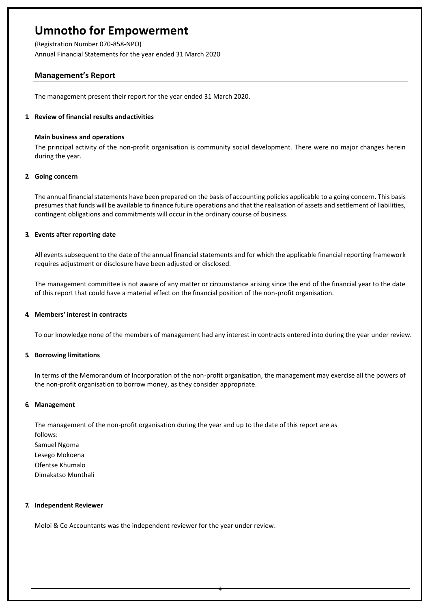(Registration Number 070-858-NPO) Annual Financial Statements for the year ended 31 March 2020

### **Management's Report**

The management present their report for the year ended 31 March 2020.

### **1. Review of financial results andactivities**

### **Main business and operations**

The principal activity of the non-profit organisation is community social development. There were no major changes herein during the year.

### **2. Going concern**

The annual financial statements have been prepared on the basis of accounting policies applicable to a going concern. This basis presumes that funds will be available to finance future operations and that the realisation of assets and settlement of liabilities, contingent obligations and commitments will occur in the ordinary course of business.

### **3. Events after reporting date**

All events subsequent to the date of the annual financial statements and for which the applicable financial reporting framework requires adjustment or disclosure have been adjusted or disclosed.

The management committee is not aware of any matter or circumstance arising since the end of the financial year to the date of this report that could have a material effect on the financial position of the non-profit organisation.

### **4. Members' interest in contracts**

To our knowledge none of the members of management had any interest in contracts entered into during the year under review.

### **5. Borrowing limitations**

In terms of the Memorandum of Incorporation of the non-profit organisation, the management may exercise all the powers of the non-profit organisation to borrow money, as they consider appropriate.

4

### **6. Management**

The management of the non-profit organisation during the year and up to the date of this report are as follows:

Samuel Ngoma Lesego Mokoena Ofentse Khumalo Dimakatso Munthali

### **7. Independent Reviewer**

Moloi & Co Accountants was the independent reviewer for the year under review.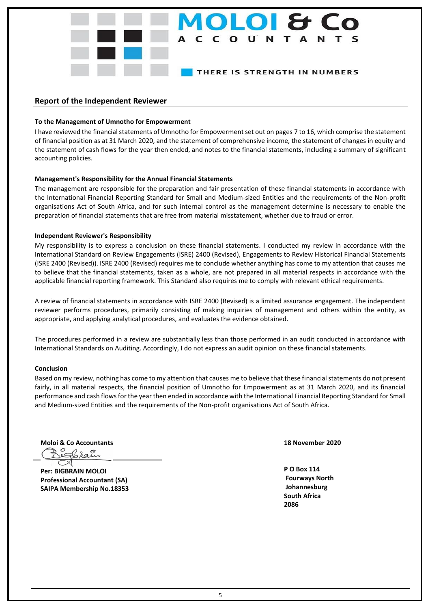

## THERE IS STRENGTH IN NUMBERS

N

 $\overline{O}$  and  $\overline{O}$ 

### **Report of the Independent Reviewer**

#### **To the Management of Umnotho for Empowerment**

I have reviewed the financial statements of Umnotho for Empowerment set out on pages 7 to 16, which comprise the statement of financial position as at 31 March 2020, and the statement of comprehensive income, the statement of changes in equity and the statement of cash flows for the year then ended, and notes to the financial statements, including a summary of significant accounting policies.

C O U

C

#### **Management's Responsibility for the Annual Financial Statements**

The management are responsible for the preparation and fair presentation of these financial statements in accordance with the International Financial Reporting Standard for Small and Medium-sized Entities and the requirements of the Non-profit organisations Act of South Africa, and for such internal control as the management determine is necessary to enable the preparation of financial statements that are free from material misstatement, whether due to fraud or error.

#### **Independent Reviewer's Responsibility**

My responsibility is to express a conclusion on these financial statements. I conducted my review in accordance with the International Standard on Review Engagements (ISRE) 2400 (Revised), Engagements to Review Historical Financial Statements (ISRE 2400 (Revised)). ISRE 2400 (Revised) requires me to conclude whether anything has come to my attention that causes me to believe that the financial statements, taken as a whole, are not prepared in all material respects in accordance with the applicable financial reporting framework. This Standard also requires me to comply with relevant ethical requirements.

A review of financial statements in accordance with ISRE 2400 (Revised) is a limited assurance engagement. The independent reviewer performs procedures, primarily consisting of making inquiries of management and others within the entity, as appropriate, and applying analytical procedures, and evaluates the evidence obtained.

The procedures performed in a review are substantially less than those performed in an audit conducted in accordance with International Standards on Auditing. Accordingly, I do not express an audit opinion on these financial statements.

#### **Conclusion**

Based on my review, nothing has come to my attention that causes me to believe that these financial statements do not present fairly, in all material respects, the financial position of Umnotho for Empowerment as at 31 March 2020, and its financial performance and cash flows for the year then ended in accordance with the International Financial Reporting Standard for Small and Medium-sized Entities and the requirements of the Non-profit organisations Act of South Africa.

**Moloi & Co Accountants** Ω

au

**Per: BIGBRAIN MOLOI Professional Accountant (SA) SAIPA Membership No.18353** **18 November 2020**

**P O Box 114 Fourways North Johannesburg South Africa 2086**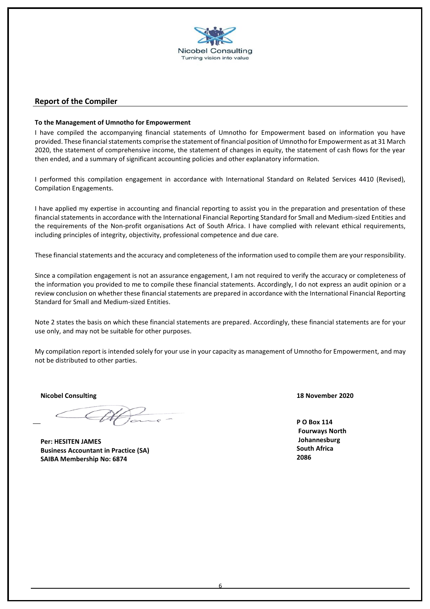

### **Report of the Compiler**

#### **To the Management of Umnotho for Empowerment**

I have compiled the accompanying financial statements of Umnotho for Empowerment based on information you have provided. These financial statements comprise the statement of financial position of Umnotho for Empowerment as at 31 March 2020, the statement of comprehensive income, the statement of changes in equity, the statement of cash flows for the year then ended, and a summary of significant accounting policies and other explanatory information.

I performed this compilation engagement in accordance with International Standard on Related Services 4410 (Revised), Compilation Engagements.

I have applied my expertise in accounting and financial reporting to assist you in the preparation and presentation of these financial statements in accordance with the International Financial Reporting Standard for Small and Medium-sized Entities and the requirements of the Non-profit organisations Act of South Africa. I have complied with relevant ethical requirements, including principles of integrity, objectivity, professional competence and due care.

These financial statements and the accuracy and completeness of the information used to compile them are your responsibility.

Since a compilation engagement is not an assurance engagement, I am not required to verify the accuracy or completeness of the information you provided to me to compile these financial statements. Accordingly, I do not express an audit opinion or a review conclusion on whether these financial statements are prepared in accordance with the International Financial Reporting Standard for Small and Medium-sized Entities.

Note 2 states the basis on which these financial statements are prepared. Accordingly, these financial statements are for your use only, and may not be suitable for other purposes.

My compilation report is intended solely for your use in your capacity as management of Umnotho for Empowerment, and may not be distributed to other parties.

**Nicobel Consulting**

**Per: HESITEN JAMES Business Accountant in Practice (SA) SAIBA Membership No: 6874**

**18 November 2020**

**P O Box 114 Fourways North Johannesburg South Africa 2086**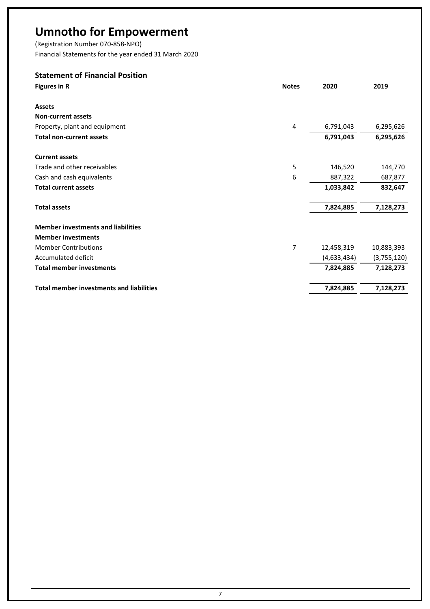(Registration Number 070-858-NPO) Financial Statements for the year ended 31 March 2020

## **Statement of Financial Position**

| <b>Figures in R</b>                             | <b>Notes</b> | 2020        | 2019        |
|-------------------------------------------------|--------------|-------------|-------------|
|                                                 |              |             |             |
| <b>Assets</b>                                   |              |             |             |
| <b>Non-current assets</b>                       |              |             |             |
| Property, plant and equipment                   | 4            | 6,791,043   | 6,295,626   |
| <b>Total non-current assets</b>                 |              | 6,791,043   | 6,295,626   |
| <b>Current assets</b>                           |              |             |             |
| Trade and other receivables                     | 5            | 146,520     | 144,770     |
| Cash and cash equivalents                       | 6            | 887,322     | 687,877     |
| <b>Total current assets</b>                     |              | 1,033,842   | 832,647     |
| <b>Total assets</b>                             |              | 7,824,885   | 7,128,273   |
| <b>Member investments and liabilities</b>       |              |             |             |
| <b>Member investments</b>                       |              |             |             |
| <b>Member Contributions</b>                     | 7            | 12,458,319  | 10,883,393  |
| Accumulated deficit                             |              | (4,633,434) | (3,755,120) |
| <b>Total member investments</b>                 |              | 7,824,885   | 7,128,273   |
| <b>Total member investments and liabilities</b> |              | 7,824,885   | 7,128,273   |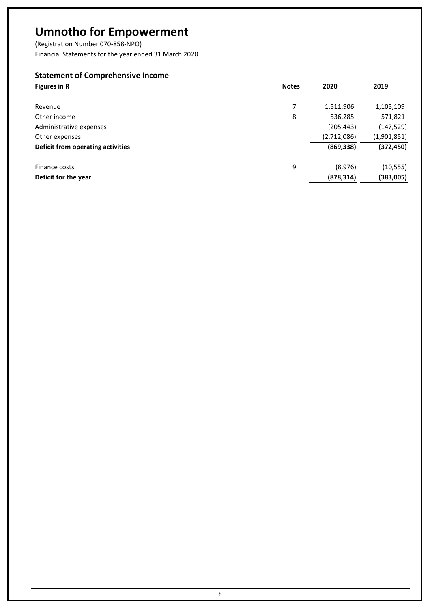(Registration Number 070-858-NPO) Financial Statements for the year ended 31 March 2020

## **Statement of Comprehensive Income**

|   | 2020         | 2019        |
|---|--------------|-------------|
|   |              |             |
| 7 | 1,511,906    | 1,105,109   |
| 8 | 536,285      | 571,821     |
|   | (205, 443)   | (147, 529)  |
|   | (2,712,086)  | (1,901,851) |
|   | (869, 338)   | (372, 450)  |
| 9 | (8,976)      | (10, 555)   |
|   | (878, 314)   | (383,005)   |
|   | <b>Notes</b> |             |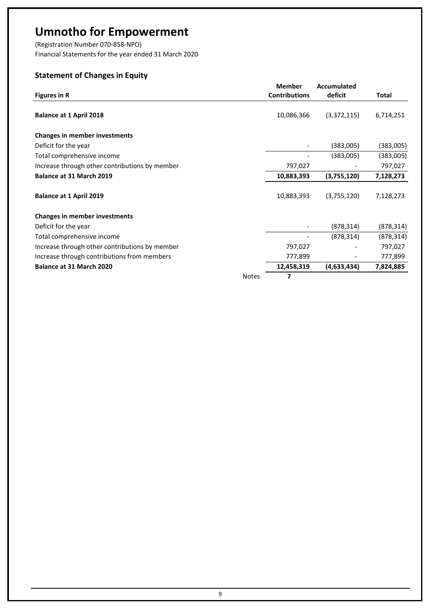(Registration Number 070-858-NPO) Financial Statements for the year ended 31 March 2020

## **Statement of Changes in Equity**

|                                                |              | <b>Member</b>        | <b>Accumulated</b> |              |
|------------------------------------------------|--------------|----------------------|--------------------|--------------|
| <b>Figures in R</b>                            |              | <b>Contributions</b> | deficit            | <b>Total</b> |
| <b>Balance at 1 April 2018</b>                 |              | 10,086,366           | (3,372,115)        | 6,714,251    |
| <b>Changes in member investments</b>           |              |                      |                    |              |
| Deficit for the year                           |              |                      | (383,005)          | (383,005)    |
| Total comprehensive income                     |              |                      | (383,005)          | (383,005)    |
| Increase through other contributions by member |              | 797,027              |                    | 797,027      |
| Balance at 31 March 2019                       |              | 10,883,393           | (3,755,120)        | 7,128,273    |
| <b>Balance at 1 April 2019</b>                 |              | 10,883,393           | (3,755,120)        | 7,128,273    |
| <b>Changes in member investments</b>           |              |                      |                    |              |
| Deficit for the year                           |              |                      | (878, 314)         | (878, 314)   |
| Total comprehensive income                     |              |                      | (878, 314)         | (878, 314)   |
| Increase through other contributions by member |              | 797,027              |                    | 797,027      |
| Increase through contributions from members    |              | 777,899              |                    | 777,899      |
| Balance at 31 March 2020                       |              | 12,458,319           | (4,633,434)        | 7,824,885    |
|                                                | <b>Notes</b> | 7                    |                    |              |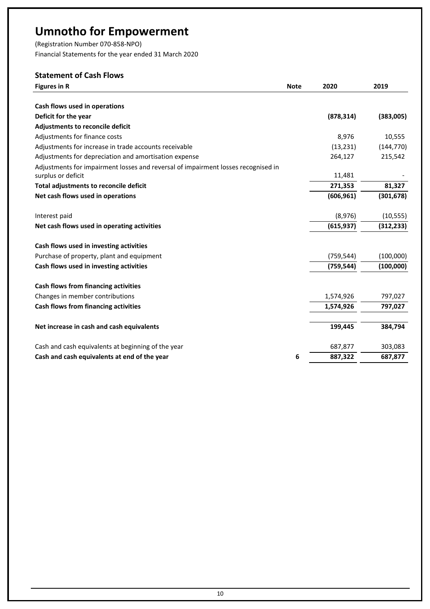(Registration Number 070-858-NPO) Financial Statements for the year ended 31 March 2020

### **Statement of Cash Flows**

| <b>Figures in R</b>                                                               | <b>Note</b> | 2020       | 2019       |
|-----------------------------------------------------------------------------------|-------------|------------|------------|
| Cash flows used in operations                                                     |             |            |            |
| Deficit for the year                                                              |             | (878, 314) | (383,005)  |
| Adjustments to reconcile deficit                                                  |             |            |            |
| Adjustments for finance costs                                                     |             | 8,976      | 10,555     |
| Adjustments for increase in trade accounts receivable                             |             | (13, 231)  | (144, 770) |
| Adjustments for depreciation and amortisation expense                             |             | 264,127    | 215,542    |
| Adjustments for impairment losses and reversal of impairment losses recognised in |             |            |            |
| surplus or deficit                                                                |             | 11,481     |            |
| Total adjustments to reconcile deficit                                            |             | 271,353    | 81,327     |
| Net cash flows used in operations                                                 |             | (606, 961) | (301, 678) |
| Interest paid                                                                     |             | (8,976)    | (10, 555)  |
| Net cash flows used in operating activities                                       |             | (615, 937) | (312, 233) |
| Cash flows used in investing activities                                           |             |            |            |
| Purchase of property, plant and equipment                                         |             | (759, 544) | (100,000)  |
| Cash flows used in investing activities                                           |             | (759, 544) | (100,000)  |
| Cash flows from financing activities                                              |             |            |            |
| Changes in member contributions                                                   |             | 1,574,926  | 797,027    |
| Cash flows from financing activities                                              |             | 1,574,926  | 797,027    |
| Net increase in cash and cash equivalents                                         |             | 199,445    | 384,794    |
| Cash and cash equivalents at beginning of the year                                |             | 687,877    | 303,083    |
| Cash and cash equivalents at end of the year                                      | 6           | 887,322    | 687,877    |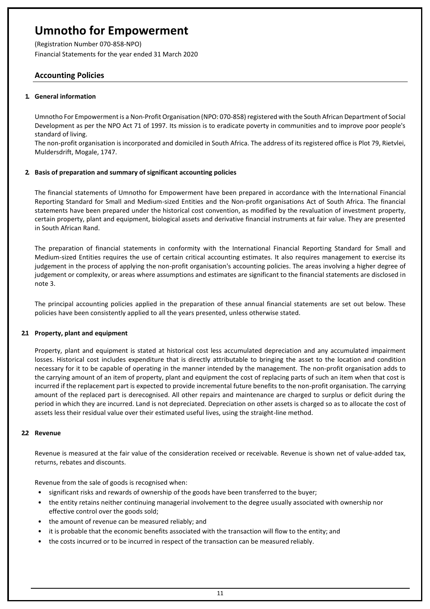(Registration Number 070-858-NPO) Financial Statements for the year ended 31 March 2020

### **Accounting Policies**

### **1. General information**

Umnotho For Empowerment is a Non-Profit Organisation (NPO: 070-858) registered with the South African Department of Social Development as per the NPO Act 71 of 1997. Its mission is to eradicate poverty in communities and to improve poor people's standard of living.

The non-profit organisation is incorporated and domiciled in South Africa. The address of its registered office is Plot 79, Rietvlei, Muldersdrift, Mogale, 1747.

### **2. Basis of preparation and summary of significant accounting policies**

The financial statements of Umnotho for Empowerment have been prepared in accordance with the International Financial Reporting Standard for Small and Medium-sized Entities and the Non-profit organisations Act of South Africa. The financial statements have been prepared under the historical cost convention, as modified by the revaluation of investment property, certain property, plant and equipment, biological assets and derivative financial instruments at fair value. They are presented in South African Rand.

The preparation of financial statements in conformity with the International Financial Reporting Standard for Small and Medium-sized Entities requires the use of certain critical accounting estimates. It also requires management to exercise its judgement in the process of applying the non-profit organisation's accounting policies. The areas involving a higher degree of judgement or complexity, or areas where assumptions and estimates are significant to the financial statements are disclosed in note 3.

The principal accounting policies applied in the preparation of these annual financial statements are set out below. These policies have been consistently applied to all the years presented, unless otherwise stated.

### **2.1 Property, plant and equipment**

Property, plant and equipment is stated at historical cost less accumulated depreciation and any accumulated impairment losses. Historical cost includes expenditure that is directly attributable to bringing the asset to the location and condition necessary for it to be capable of operating in the manner intended by the management. The non-profit organisation adds to the carrying amount of an item of property, plant and equipment the cost of replacing parts of such an item when that cost is incurred if the replacement part is expected to provide incremental future benefits to the non-profit organisation. The carrying amount of the replaced part is derecognised. All other repairs and maintenance are charged to surplus or deficit during the period in which they are incurred. Land is not depreciated. Depreciation on other assets is charged so as to allocate the cost of assets less their residual value over their estimated useful lives, using the straight-line method.

### **2.2 Revenue**

Revenue is measured at the fair value of the consideration received or receivable. Revenue is shown net of value-added tax, returns, rebates and discounts.

Revenue from the sale of goods is recognised when:

- significant risks and rewards of ownership of the goods have been transferred to the buyer;
- the entity retains neither continuing managerial involvement to the degree usually associated with ownership nor effective control over the goods sold;
- the amount of revenue can be measured reliably; and
- it is probable that the economic benefits associated with the transaction will flow to the entity; and
- the costs incurred or to be incurred in respect of the transaction can be measured reliably.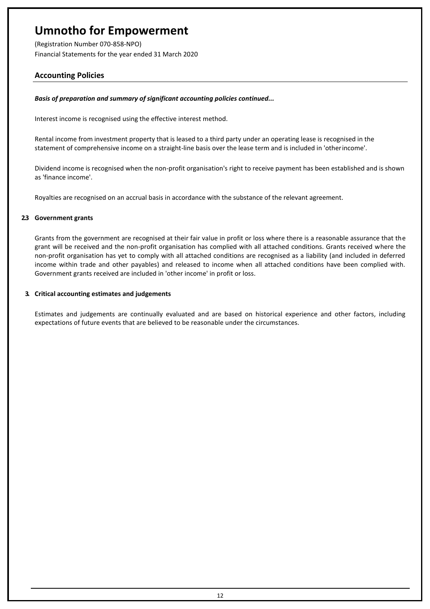(Registration Number 070-858-NPO) Financial Statements for the year ended 31 March 2020

## **Accounting Policies**

### *Basis of preparation and summary of significant accounting policies continued...*

Interest income is recognised using the effective interest method.

Rental income from investment property that is leased to a third party under an operating lease is recognised in the statement of comprehensive income on a straight-line basis over the lease term and is included in 'otherincome'.

Dividend income is recognised when the non-profit organisation's right to receive payment has been established and is shown as 'finance income'.

Royalties are recognised on an accrual basis in accordance with the substance of the relevant agreement.

### **2.3 Government grants**

Grants from the government are recognised at their fair value in profit or loss where there is a reasonable assurance that the grant will be received and the non-profit organisation has complied with all attached conditions. Grants received where the non-profit organisation has yet to comply with all attached conditions are recognised as a liability (and included in deferred income within trade and other payables) and released to income when all attached conditions have been complied with. Government grants received are included in 'other income' in profit or loss.

### **3. Critical accounting estimates and judgements**

Estimates and judgements are continually evaluated and are based on historical experience and other factors, including expectations of future events that are believed to be reasonable under the circumstances.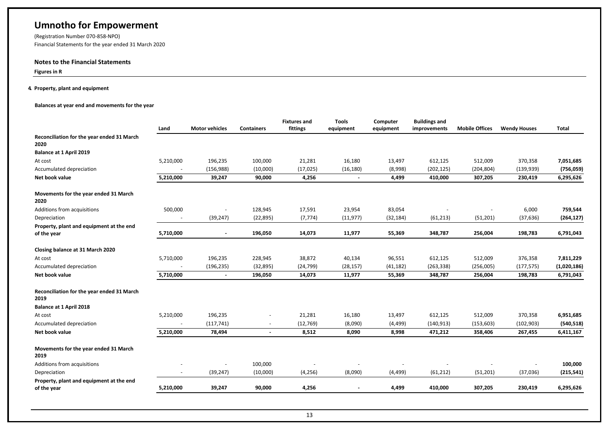(Registration Number 070-858-NPO)

Financial Statements for the year ended 31 March 2020

#### **Notes to the Financial Statements**

### **Figures in R**

### **4. Property, plant and equipment**

#### **Balances at year end and movements for the year**

| Reconciliation for the year ended 31 March<br>2020<br>Balance at 1 April 2019<br>5,210,000<br>At cost<br>Accumulated depreciation<br>5,210,000<br>Net book value<br>Movements for the year ended 31 March<br>2020<br>Additions from acquisitions<br>500,000<br>Depreciation<br>Property, plant and equipment at the end<br>5,710,000<br>of the year<br>Closing balance at 31 March 2020<br>5,710,000<br>At cost<br>Accumulated depreciation | 196,235                  |           |           |                |           |            |                          |            |             |
|---------------------------------------------------------------------------------------------------------------------------------------------------------------------------------------------------------------------------------------------------------------------------------------------------------------------------------------------------------------------------------------------------------------------------------------------|--------------------------|-----------|-----------|----------------|-----------|------------|--------------------------|------------|-------------|
|                                                                                                                                                                                                                                                                                                                                                                                                                                             |                          |           |           |                |           |            |                          |            |             |
|                                                                                                                                                                                                                                                                                                                                                                                                                                             |                          |           |           |                |           |            |                          |            |             |
|                                                                                                                                                                                                                                                                                                                                                                                                                                             |                          | 100,000   | 21,281    | 16,180         | 13,497    | 612,125    | 512,009                  | 370,358    | 7,051,685   |
|                                                                                                                                                                                                                                                                                                                                                                                                                                             | (156, 988)               | (10,000)  | (17, 025) | (16, 180)      | (8,998)   | (202, 125) | (204, 804)               | (139, 939) | (756, 059)  |
|                                                                                                                                                                                                                                                                                                                                                                                                                                             | 39,247                   | 90,000    | 4,256     | $\blacksquare$ | 4,499     | 410,000    | 307,205                  | 230,419    | 6,295,626   |
|                                                                                                                                                                                                                                                                                                                                                                                                                                             |                          |           |           |                |           |            |                          |            |             |
|                                                                                                                                                                                                                                                                                                                                                                                                                                             | $\overline{\phantom{a}}$ | 128,945   | 17,591    | 23,954         | 83,054    |            | $\overline{\phantom{a}}$ | 6,000      | 759,544     |
|                                                                                                                                                                                                                                                                                                                                                                                                                                             | (39, 247)                | (22, 895) | (7, 774)  | (11, 977)      | (32, 184) | (61, 213)  | (51, 201)                | (37, 636)  | (264, 127)  |
|                                                                                                                                                                                                                                                                                                                                                                                                                                             |                          | 196,050   | 14,073    | 11,977         | 55,369    | 348,787    | 256,004                  | 198,783    | 6,791,043   |
|                                                                                                                                                                                                                                                                                                                                                                                                                                             |                          |           |           |                |           |            |                          |            |             |
|                                                                                                                                                                                                                                                                                                                                                                                                                                             | 196,235                  | 228,945   | 38,872    | 40,134         | 96,551    | 612,125    | 512,009                  | 376,358    | 7,811,229   |
|                                                                                                                                                                                                                                                                                                                                                                                                                                             | (196, 235)               | (32, 895) | (24, 799) | (28, 157)      | (41, 182) | (263, 338) | (256,005)                | (177, 575) | (1,020,186) |
| Net book value<br>5,710,000                                                                                                                                                                                                                                                                                                                                                                                                                 |                          | 196,050   | 14,073    | 11,977         | 55,369    | 348,787    | 256,004                  | 198,783    | 6,791,043   |
| Reconciliation for the year ended 31 March<br>2019                                                                                                                                                                                                                                                                                                                                                                                          |                          |           |           |                |           |            |                          |            |             |
| <b>Balance at 1 April 2018</b>                                                                                                                                                                                                                                                                                                                                                                                                              |                          |           |           |                |           |            |                          |            |             |
| 5,210,000<br>At cost                                                                                                                                                                                                                                                                                                                                                                                                                        | 196,235                  |           | 21,281    | 16,180         | 13,497    | 612,125    | 512,009                  | 370,358    | 6,951,685   |
| Accumulated depreciation                                                                                                                                                                                                                                                                                                                                                                                                                    | (117, 741)               |           | (12, 769) | (8,090)        | (4, 499)  | (140, 913) | (153, 603)               | (102, 903) | (540, 518)  |
| 5,210,000<br>Net book value                                                                                                                                                                                                                                                                                                                                                                                                                 | 78,494                   | $\sim$    | 8,512     | 8,090          | 8,998     | 471,212    | 358,406                  | 267,455    | 6,411,167   |
| Movements for the year ended 31 March<br>2019                                                                                                                                                                                                                                                                                                                                                                                               |                          |           |           |                |           |            |                          |            |             |
| Additions from acquisitions                                                                                                                                                                                                                                                                                                                                                                                                                 |                          | 100,000   |           |                |           |            |                          |            | 100,000     |
| Depreciation                                                                                                                                                                                                                                                                                                                                                                                                                                | (39, 247)                | (10,000)  | (4, 256)  | (8,090)        | (4, 499)  | (61, 212)  | (51, 201)                | (37,036)   | (215, 541)  |
| Property, plant and equipment at the end<br>5,210,000<br>of the year                                                                                                                                                                                                                                                                                                                                                                        |                          |           |           |                |           |            |                          |            |             |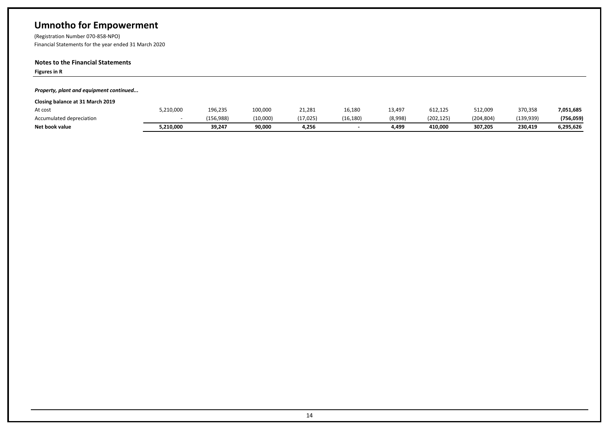(Registration Number 070-858-NPO)

Financial Statements for the year ended 31 March 2020

### **Notes to the Financial Statements**

### **Figures in R**

| Property, plant and equipment continued |  |
|-----------------------------------------|--|
|-----------------------------------------|--|

| Net book value                   | 210,000,ذ | 39,247    | 90,000   | 4,256     |           | 4,499   | 410,000    | 307,205    | 230,419    | 6,295,626 |
|----------------------------------|-----------|-----------|----------|-----------|-----------|---------|------------|------------|------------|-----------|
| Accumulated depreciation         |           | (156,988) | (10,000) | (17, 025) | (16, 180) | (8,998) | (202, 125) | (204, 804) | (139, 939) | (756,059) |
| At cost                          | 5,210,000 | 196,235   | 100,000  | 21,281    | 16,180    | 13,497  | 612,125    | 512,009    | 370,358    | 7,051,685 |
| Closing balance at 31 March 2019 |           |           |          |           |           |         |            |            |            |           |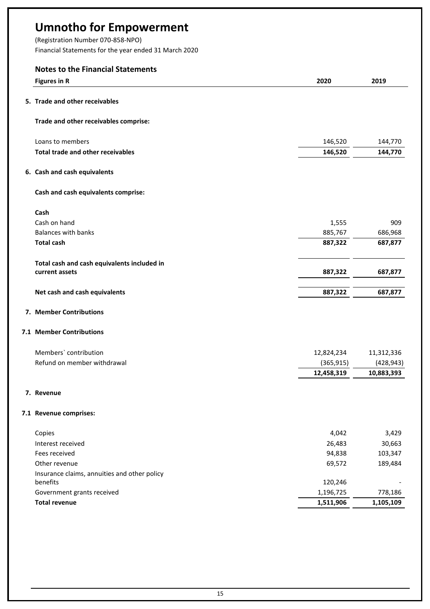(Registration Number 070-858-NPO) Financial Statements for the year ended 31 March 2020

## **Notes to the Financial Statements**

| <b>Figures in R</b>                          | 2020       | 2019       |
|----------------------------------------------|------------|------------|
| 5. Trade and other receivables               |            |            |
| Trade and other receivables comprise:        |            |            |
| Loans to members                             | 146,520    | 144,770    |
| <b>Total trade and other receivables</b>     | 146,520    | 144,770    |
| 6. Cash and cash equivalents                 |            |            |
| Cash and cash equivalents comprise:          |            |            |
| Cash                                         |            |            |
| Cash on hand                                 | 1,555      | 909        |
| <b>Balances with banks</b>                   | 885,767    | 686,968    |
| <b>Total cash</b>                            | 887,322    | 687,877    |
| Total cash and cash equivalents included in  |            |            |
| current assets                               | 887,322    | 687,877    |
| Net cash and cash equivalents                | 887,322    | 687,877    |
| 7. Member Contributions                      |            |            |
| 7.1 Member Contributions                     |            |            |
| Members' contribution                        | 12,824,234 | 11,312,336 |
| Refund on member withdrawal                  | (365, 915) | (428, 943) |
|                                              | 12,458,319 | 10,883,393 |
| 7. Revenue                                   |            |            |
| 7.1 Revenue comprises:                       |            |            |
| Copies                                       | 4,042      | 3,429      |
| Interest received                            | 26,483     | 30,663     |
| Fees received                                | 94,838     | 103,347    |
| Other revenue                                | 69,572     | 189,484    |
| Insurance claims, annuities and other policy |            |            |
| benefits                                     | 120,246    |            |
| Government grants received                   | 1,196,725  | 778,186    |

**Total revenue 1,105,109 1,105,109**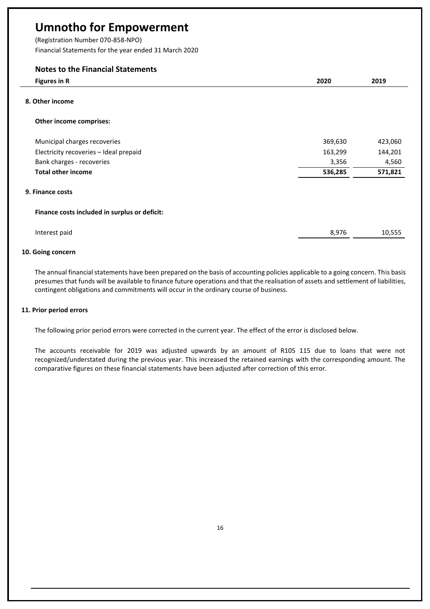(Registration Number 070-858-NPO)

Financial Statements for the year ended 31 March 2020

### **Notes to the Financial Statements**

| <b>Figures in R</b>                           | 2020    | 2019    |
|-----------------------------------------------|---------|---------|
| 8. Other income                               |         |         |
| Other income comprises:                       |         |         |
| Municipal charges recoveries                  | 369,630 | 423,060 |
| Electricity recoveries - Ideal prepaid        | 163,299 | 144,201 |
| Bank charges - recoveries                     | 3,356   | 4,560   |
| <b>Total other income</b>                     | 536,285 | 571,821 |
| 9. Finance costs                              |         |         |
| Finance costs included in surplus or deficit: |         |         |
| Interest paid                                 | 8,976   | 10,555  |

### **10. Going concern**

The annual financial statements have been prepared on the basis of accounting policies applicable to a going concern. This basis presumes that funds will be available to finance future operations and that the realisation of assets and settlement of liabilities, contingent obligations and commitments will occur in the ordinary course of business.

### **11. Prior period errors**

The following prior period errors were corrected in the current year. The effect of the error is disclosed below.

The accounts receivable for 2019 was adjusted upwards by an amount of R105 115 due to loans that were not recognized/understated during the previous year. This increased the retained earnings with the corresponding amount. The comparative figures on these financial statements have been adjusted after correction of this error.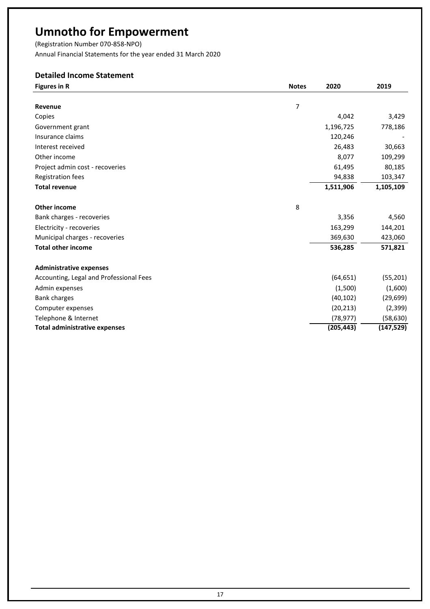(Registration Number 070-858-NPO) Annual Financial Statements for the year ended 31 March 2020

## **Detailed Income Statement**

| <b>Figures in R</b>                     | <b>Notes</b>   | 2020       | 2019       |
|-----------------------------------------|----------------|------------|------------|
|                                         |                |            |            |
| Revenue                                 | $\overline{7}$ |            |            |
| Copies                                  |                | 4,042      | 3,429      |
| Government grant                        |                | 1,196,725  | 778,186    |
| Insurance claims                        |                | 120,246    |            |
| Interest received                       |                | 26,483     | 30,663     |
| Other income                            |                | 8,077      | 109,299    |
| Project admin cost - recoveries         |                | 61,495     | 80,185     |
| <b>Registration fees</b>                |                | 94,838     | 103,347    |
| <b>Total revenue</b>                    |                | 1,511,906  | 1,105,109  |
| <b>Other income</b>                     | 8              |            |            |
| Bank charges - recoveries               |                | 3,356      | 4,560      |
| Electricity - recoveries                |                | 163,299    | 144,201    |
| Municipal charges - recoveries          |                | 369,630    | 423,060    |
| <b>Total other income</b>               |                | 536,285    | 571,821    |
| <b>Administrative expenses</b>          |                |            |            |
| Accounting, Legal and Professional Fees |                | (64, 651)  | (55, 201)  |
| Admin expenses                          |                | (1,500)    | (1,600)    |
| <b>Bank charges</b>                     |                | (40, 102)  | (29, 699)  |
| Computer expenses                       |                | (20, 213)  | (2, 399)   |
| Telephone & Internet                    |                | (78, 977)  | (58, 630)  |
| <b>Total administrative expenses</b>    |                | (205, 443) | (147, 529) |